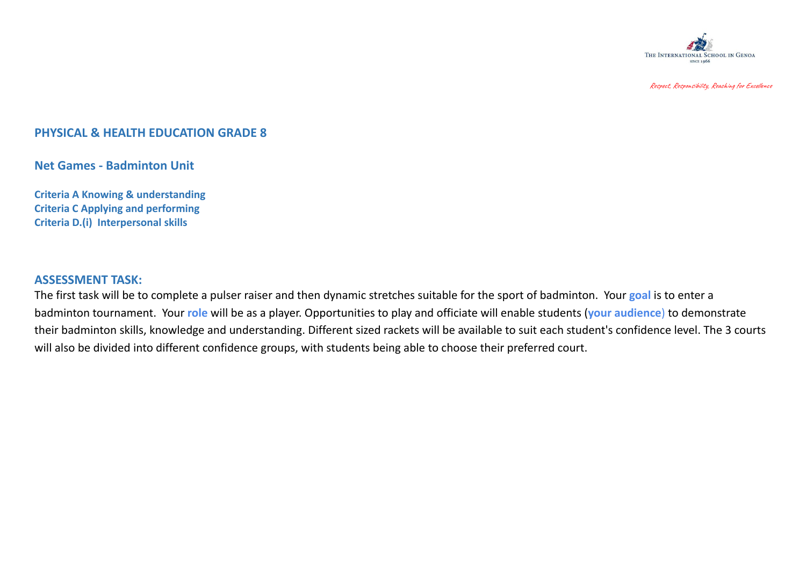

Respect, Responsibility, Reaching for Excellence

## **PHYSICAL & HEALTH EDUCATION GRADE 8**

**Net Games - Badminton Unit**

**Criteria A Knowing & understanding Criteria C Applying and performing Criteria D.(i) Interpersonal skills**

## **ASSESSMENT TASK:**

The first task will be to complete a pulser raiser and then dynamic stretches suitable for the sport of badminton. Your **goal** is to enter a badminton tournament. Your **role** will be as a player. Opportunities to play and officiate will enable students (**your audience**) to demonstrate their badminton skills, knowledge and understanding. Different sized rackets will be available to suit each student's confidence level. The 3 courts will also be divided into different confidence groups, with students being able to choose their preferred court.